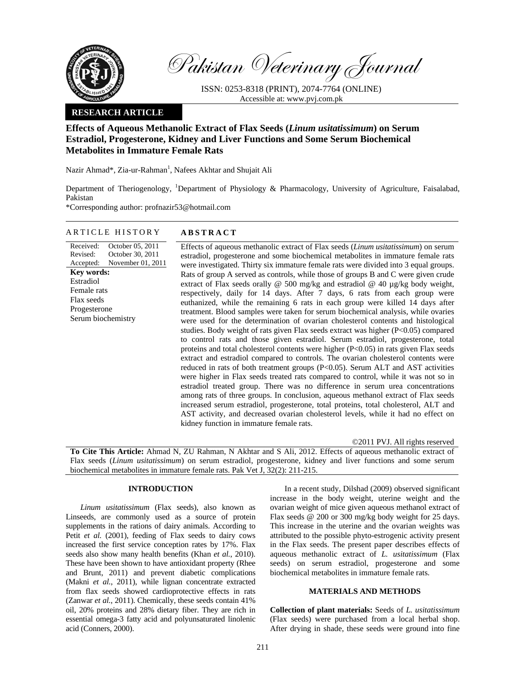

Pakistan Veterinary Journal

ISSN: 0253-8318 (PRINT), 2074-7764 (ONLINE) Accessible at: www.pvj.com.pk

# **RESEARCH ARTICLE**

# **Effects of Aqueous Methanolic Extract of Flax Seeds (***Linum usitatissimum***) on Serum Estradiol, Progesterone, Kidney and Liver Functions and Some Serum Biochemical Metabolites in Immature Female Rats**

Nazir Ahmad\*, Zia-ur-Rahman<sup>1</sup>, Nafees Akhtar and Shujait Ali

Department of Theriogenology, <sup>1</sup>Department of Physiology & Pharmacology, University of Agriculture, Faisalabad, Pakistan

\*Corresponding author: profnazir53@hotmail.com

#### ARTICLE HISTORY **ABSTRACT**

Received: Revised: Accepted: October 05, 2011 October 30, 2011 November 01, 2011 **Key words:**  Estradiol Female rats Flax seeds Progesterone Serum biochemistry

Effects of aqueous methanolic extract of Flax seeds (*Linum usitatissimum*) on serum estradiol, progesterone and some biochemical metabolites in immature female rats were investigated. Thirty six immature female rats were divided into 3 equal groups. Rats of group A served as controls, while those of groups B and C were given crude extract of Flax seeds orally @ 500 mg/kg and estradiol @ 40 µg/kg body weight, respectively, daily for 14 days. After 7 days, 6 rats from each group were euthanized, while the remaining 6 rats in each group were killed 14 days after treatment. Blood samples were taken for serum biochemical analysis, while ovaries were used for the determination of ovarian cholesterol contents and histological studies. Body weight of rats given Flax seeds extract was higher (P<0.05) compared to control rats and those given estradiol. Serum estradiol, progesterone, total proteins and total cholesterol contents were higher (P<0.05) in rats given Flax seeds extract and estradiol compared to controls. The ovarian cholesterol contents were reduced in rats of both treatment groups (P<0.05). Serum ALT and AST activities were higher in Flax seeds treated rats compared to control, while it was not so in estradiol treated group. There was no difference in serum urea concentrations among rats of three groups. In conclusion, aqueous methanol extract of Flax seeds increased serum estradiol, progesterone, total proteins, total cholesterol, ALT and AST activity, and decreased ovarian cholesterol levels, while it had no effect on kidney function in immature female rats.

©2011 PVJ. All rights reserved

**To Cite This Article:** Ahmad N, ZU Rahman, N Akhtar and S Ali, 2012. Effects of aqueous methanolic extract of Flax seeds (*Linum usitatissimum*) on serum estradiol, progesterone, kidney and liver functions and some serum biochemical metabolites in immature female rats. Pak Vet J, 32(2): 211-215.

### **INTRODUCTION**

*Linum usitatissimum* (Flax seeds), also known as Linseeds, are commonly used as a source of protein supplements in the rations of dairy animals. According to Petit *et al.* (2001), feeding of Flax seeds to dairy cows increased the first service conception rates by 17%. Flax seeds also show many health benefits (Khan *et al.*, 2010). These have been shown to have antioxidant property (Rhee and Brunt, 2011) and prevent diabetic complications (Makni *et al.*, 2011), while lignan concentrate extracted from flax seeds showed cardioprotective effects in rats (Zanwar *et al.*, 2011). Chemically, these seeds contain 41% oil, 20% proteins and 28% dietary fiber. They are rich in essential omega-3 fatty acid and polyunsaturated linolenic acid (Conners, 2000).

In a recent study, Dilshad (2009) observed significant increase in the body weight, uterine weight and the ovarian weight of mice given aqueous methanol extract of Flax seeds @ 200 or 300 mg/kg body weight for 25 days. This increase in the uterine and the ovarian weights was attributed to the possible phyto-estrogenic activity present in the Flax seeds. The present paper describes effects of aqueous methanolic extract of *L. usitatissimum* (Flax seeds) on serum estradiol, progesterone and some biochemical metabolites in immature female rats.

# **MATERIALS AND METHODS**

**Collection of plant materials:** Seeds of *L. usitatissimum* (Flax seeds) were purchased from a local herbal shop. After drying in shade, these seeds were ground into fine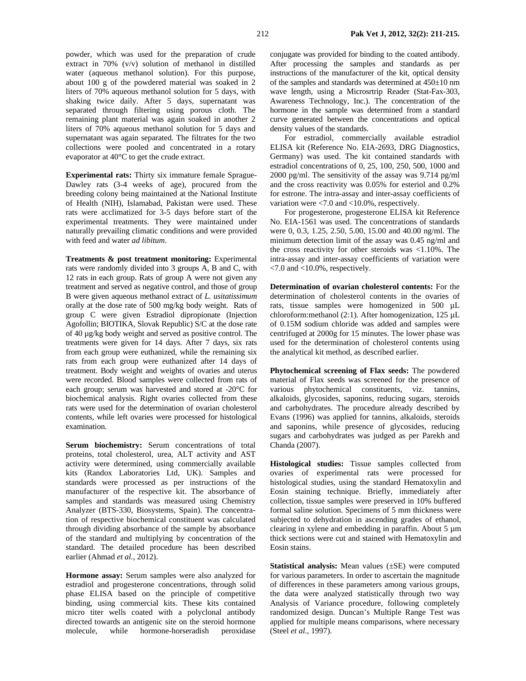powder, which was used for the preparation of crude extract in 70% (v/v) solution of methanol in distilled water (aqueous methanol solution). For this purpose, about 100 g of the powdered material was soaked in 2 liters of 70% aqueous methanol solution for 5 days, with shaking twice daily. After 5 days, supernatant was separated through filtering using porous cloth. The remaining plant material was again soaked in another 2 liters of 70% aqueous methanol solution for 5 days and supernatant was again separated. The filtrates for the two collections were pooled and concentrated in a rotary evaporator at 40°C to get the crude extract.

**Experimental rats:** Thirty six immature female Sprague-Dawley rats (3-4 weeks of age), procured from the breeding colony being maintained at the National Institute of Health (NIH), Islamabad, Pakistan were used. These rats were acclimatized for 3-5 days before start of the experimental treatments. They were maintained under naturally prevailing climatic conditions and were provided with feed and water *ad libitum*.

**Treatments & post treatment monitoring:** Experimental rats were randomly divided into 3 groups A, B and C, with 12 rats in each group. Rats of group A were not given any treatment and served as negative control, and those of group B were given aqueous methanol extract of *L. usitatissimum* orally at the dose rate of 500 mg/kg body weight. Rats of group C were given Estradiol dipropionate (Injection Agofollin; BIOTIKA, Slovak Republic) S/C at the dose rate of 40 µg/kg body weight and served as positive control. The treatments were given for 14 days. After 7 days, six rats from each group were euthanized, while the remaining six rats from each group were euthanized after 14 days of treatment. Body weight and weights of ovaries and uterus were recorded. Blood samples were collected from rats of each group; serum was harvested and stored at -20°C for biochemical analysis. Right ovaries collected from these rats were used for the determination of ovarian cholesterol contents, while left ovaries were processed for histological examination.

**Serum biochemistry:** Serum concentrations of total proteins, total cholesterol, urea, ALT activity and AST activity were determined, using commercially available kits (Randox Laboratories Ltd, UK). Samples and standards were processed as per instructions of the manufacturer of the respective kit. The absorbance of samples and standards was measured using Chemistry Analyzer (BTS-330, Biosystems, Spain). The concentration of respective biochemical constituent was calculated through dividing absorbance of the sample by absorbance of the standard and multiplying by concentration of the standard. The detailed procedure has been described earlier (Ahmad *et al.*, 2012).

**Hormone assay:** Serum samples were also analyzed for estradiol and progesterone concentrations, through solid phase ELISA based on the principle of competitive binding, using commercial kits. These kits contained micro titer wells coated with a polyclonal antibody directed towards an antigenic site on the steroid hormone molecule, while hormone-horseradish peroxidase

conjugate was provided for binding to the coated antibody. After processing the samples and standards as per instructions of the manufacturer of the kit, optical density of the samples and standards was determined at 450±10 nm wave length, using a Microsrtrip Reader (Stat-Fax-303, Awareness Technology, Inc.). The concentration of the hormone in the sample was determined from a standard curve generated between the concentrations and optical density values of the standards.

For estradiol, commercially available estradiol ELISA kit (Reference No. EIA-2693, DRG Diagnostics, Germany) was used. The kit contained standards with estradiol concentrations of 0, 25, 100, 250, 500, 1000 and 2000 pg/ml. The sensitivity of the assay was 9.714 pg/ml and the cross reactivity was 0.05% for esteriol and 0.2% for estrone. The intra-assay and inter-assay coefficients of variation were <7.0 and <10.0%, respectively.

For progesterone, progesterone ELISA kit Reference No. EIA-1561 was used. The concentrations of standards were 0, 0.3, 1.25, 2.50, 5.00, 15.00 and 40.00 ng/ml. The minimum detection limit of the assay was 0.45 ng/ml and the cross reactivity for other steroids was <1.10%. The intra-assay and inter-assay coefficients of variation were <7.0 and <10.0%, respectively.

**Determination of ovarian cholesterol contents:** For the determination of cholesterol contents in the ovaries of rats, tissue samples were homogenized in 500 µL chloroform:methanol (2:1). After homogenization, 125 µL of 0.15M sodium chloride was added and samples were centrifuged at 2000g for 15 minutes. The lower phase was used for the determination of cholesterol contents using the analytical kit method, as described earlier.

**Phytochemical screening of Flax seeds:** The powdered material of Flax seeds was screened for the presence of various phytochemical constituents, viz. tannins, alkaloids, glycosides, saponins, reducing sugars, steroids and carbohydrates. The procedure already described by Evans (1996) was applied for tannins, alkaloids, steroids and saponins, while presence of glycosides, reducing sugars and carbohydrates was judged as per Parekh and Chanda (2007).

**Histological studies:** Tissue samples collected from ovaries of experimental rats were processed for histological studies, using the standard Hematoxylin and Eosin staining technique. Briefly, immediately after collection, tissue samples were preserved in 10% buffered formal saline solution. Specimens of 5 mm thickness were subjected to dehydration in ascending grades of ethanol, clearing in xylene and embedding in paraffin. About  $5 \mu m$ thick sections were cut and stained with Hematoxylin and Eosin stains.

**Statistical analysis:** Mean values (±SE) were computed for various parameters. In order to ascertain the magnitude of differences in these parameters among various groups, the data were analyzed statistically through two way Analysis of Variance procedure, following completely randomized design. Duncan's Multiple Range Test was applied for multiple means comparisons, where necessary (Steel *et al.,* 1997).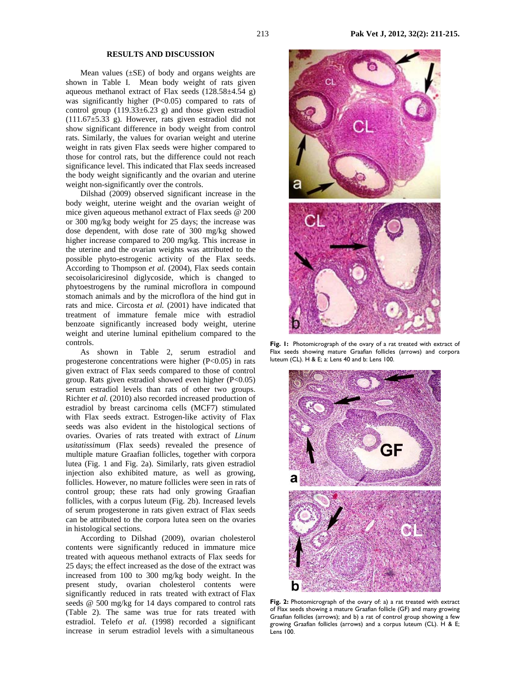# **RESULTS AND DISCUSSION**

Mean values  $(\pm SE)$  of body and organs weights are shown in Table I. Mean body weight of rats given aqueous methanol extract of Flax seeds (128.58±4.54 g) was significantly higher (P<0.05) compared to rats of control group  $(119.33\pm6.23 \text{ g})$  and those given estradiol  $(111.67±5.33$  g). However, rats given estradiol did not show significant difference in body weight from control rats. Similarly, the values for ovarian weight and uterine weight in rats given Flax seeds were higher compared to those for control rats, but the difference could not reach significance level. This indicated that Flax seeds increased the body weight significantly and the ovarian and uterine weight non-significantly over the controls.

Dilshad (2009) observed significant increase in the body weight, uterine weight and the ovarian weight of mice given aqueous methanol extract of Flax seeds @ 200 or 300 mg/kg body weight for 25 days; the increase was dose dependent, with dose rate of 300 mg/kg showed higher increase compared to 200 mg/kg. This increase in the uterine and the ovarian weights was attributed to the possible phyto-estrogenic activity of the Flax seeds. According to Thompson *et al.* (2004), Flax seeds contain secoisolariciresinol diglycoside, which is changed to phytoestrogens by the ruminal microflora in compound stomach animals and by the microflora of the hind gut in rats and mice. Circosta *et al.* (2001) have indicated that treatment of immature female mice with estradiol benzoate significantly increased body weight, uterine weight and uterine luminal epithelium compared to the controls.

As shown in Table 2, serum estradiol and progesterone concentrations were higher (P<0.05) in rats given extract of Flax seeds compared to those of control group. Rats given estradiol showed even higher  $(P<0.05)$ serum estradiol levels than rats of other two groups. Richter *et al.* (2010) also recorded increased production of estradiol by breast carcinoma cells (MCF7) stimulated with Flax seeds extract. Estrogen-like activity of Flax seeds was also evident in the histological sections of ovaries. Ovaries of rats treated with extract of *Linum usitatissimum* (Flax seeds) revealed the presence of multiple mature Graafian follicles, together with corpora lutea (Fig. 1 and Fig. 2a). Similarly, rats given estradiol injection also exhibited mature, as well as growing, follicles. However, no mature follicles were seen in rats of control group; these rats had only growing Graafian follicles, with a corpus luteum (Fig. 2b). Increased levels of serum progesterone in rats given extract of Flax seeds can be attributed to the corpora lutea seen on the ovaries in histological sections.

According to Dilshad (2009), ovarian cholesterol contents were significantly reduced in immature mice treated with aqueous methanol extracts of Flax seeds for 25 days; the effect increased as the dose of the extract was increased from 100 to 300 mg/kg body weight. In the present study, ovarian cholesterol contents were significantly reduced in rats treated with extract of Flax seeds @ 500 mg/kg for 14 days compared to control rats (Table 2). The same was true for rats treated with estradiol. Telefo *et al.* (1998) recorded a significant increase in serum estradiol levels with a simultaneous



**Fig. 1:** Photomicrograph of the ovary of a rat treated with extract of Flax seeds showing mature Graafian follicles (arrows) and corpora luteum (CL). H & E; a: Lens 40 and b: Lens 100.



**Fig. 2:** Photomicrograph of the ovary of: a) a rat treated with extract of Flax seeds showing a mature Graafian follicle (GF) and many growing Graafian follicles (arrows); and b) a rat of control group showing a few growing Graafian follicles (arrows) and a corpus luteum (CL). H & E; Lens 100.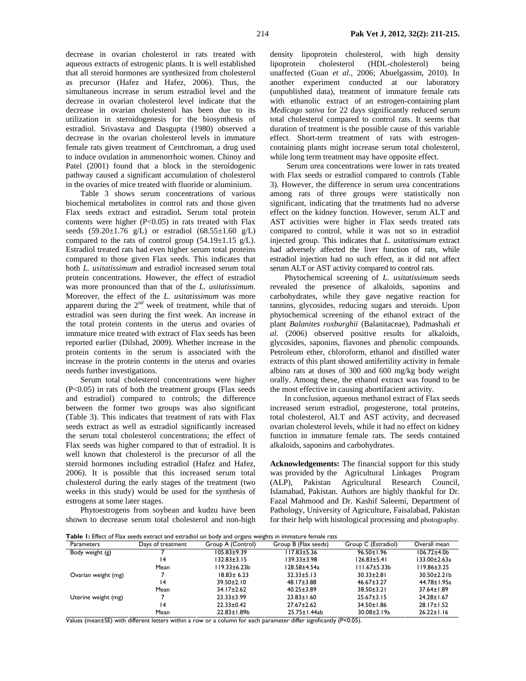decrease in ovarian cholesterol in rats treated with aqueous extracts of estrogenic plants. It is well established that all steroid hormones are synthesized from cholesterol as precursor (Hafez and Hafez, 2006). Thus, the simultaneous increase in serum estradiol level and the decrease in ovarian cholesterol level indicate that the decrease in ovarian cholesterol has been due to its utilization in steroidogenesis for the biosynthesis of estradiol. Srivastava and Dasgupta (1980) observed a decrease in the ovarian cholesterol levels in immature female rats given treatment of Centchroman, a drug used to induce ovulation in ammenorrhoic women. Chinoy and Patel (2001) found that a block in the steroidogenic pathway caused a significant accumulation of cholesterol in the ovaries of mice treated with fluoride or aluminium.

Table 3 shows serum concentrations of various biochemical metabolites in control rats and those given Flax seeds extract and estradiol**.** Serum total protein contents were higher  $(P<0.05)$  in rats treated with Flax seeds  $(59.20 \pm 1.76 \text{ g/L})$  or estradiol  $(68.55 \pm 1.60 \text{ g/L})$ compared to the rats of control group  $(54.19 \pm 1.15 \text{ g/L})$ . Estradiol treated rats had even higher serum total proteins compared to those given Flax seeds. This indicates that both *L. usitatissimum* and estradiol increased serum total protein concentrations. However, the effect of estradiol was more pronounced than that of the *L. usitatissimum*. Moreover, the effect of the *L. usitatissimum* was more apparent during the  $2<sup>nd</sup>$  week of treatment, while that of estradiol was seen during the first week. An increase in the total protein contents in the uterus and ovaries of immature mice treated with extract of Flax seeds has been reported earlier (Dilshad, 2009). Whether increase in the protein contents in the serum is associated with the increase in the protein contents in the uterus and ovaries needs further investigations.

Serum total cholesterol concentrations were higher (P<0.05) in rats of both the treatment groups (Flax seeds and estradiol) compared to controls; the difference between the former two groups was also significant (Table 3). This indicates that treatment of rats with Flax seeds extract as well as estradiol significantly increased the serum total cholesterol concentrations; the effect of Flax seeds was higher compared to that of estradiol. It is well known that cholesterol is the precursor of all the steroid hormones including estradiol (Hafez and Hafez, 2006). It is possible that this increased serum total cholesterol during the early stages of the treatment (two weeks in this study) would be used for the synthesis of estrogens at some later stages.

Phytoestrogens from soybean and kudzu have been shown to decrease serum total cholesterol and non-high

density lipoprotein cholesterol, with high density lipoprotein cholesterol (HDL-cholesterol) being unaffected (Guan *et al.*, 2006; Abuelgassim, 2010). In another experiment conducted at our laboratory (unpublished data), treatment of immature female rats with ethanolic extract of an estrogen-containing plant *Medicago sativa* for 22 days significantly reduced serum total cholesterol compared to control rats. It seems that duration of treatment is the possible cause of this variable effect. Short-term treatment of rats with estrogencontaining plants might increase serum total cholesterol, while long term treatment may have opposite effect.

 Serum urea concentrations were lower in rats treated with Flax seeds or estradiol compared to controls (Table 3). However, the difference in serum urea concentrations among rats of three groups were statistically non significant, indicating that the treatments had no adverse effect on the kidney function. However, serum ALT and AST activities were higher in Flax seeds treated rats compared to control, while it was not so in estradiol injected group. This indicates that *L. usitatissimum* extract had adversely affected the liver function of rats, while estradiol injection had no such effect, as it did not affect serum ALT or AST activity compared to control rats.

Phytochemical screening of *L. usitatissimum* seeds revealed the presence of alkaloids, saponins and carbohydrates, while they gave negative reaction for tannins, glycosides, reducing sugars and steroids. Upon phytochemical screening of the ethanol extract of the plant *Balanites roxburghii* (Balanitaceae), Padmashali *et al.* (2006) observed positive results for alkaloids, glycosides, saponins, flavones and phenolic compounds. Petroleum ether, chloroform, ethanol and distilled water extracts of this plant showed antifertility activity in female albino rats at doses of 300 and 600 mg/kg body weight orally. Among these, the ethanol extract was found to be the most effective in causing abortifacient activity.

In conclusion, aqueous methanol extract of Flax seeds increased serum estradiol, progesterone, total proteins, total cholesterol, ALT and AST activity, and decreased ovarian cholesterol levels, while it had no effect on kidney function in immature female rats. The seeds contained alkaloids, saponins and carbohydrates.

**Acknowledgements:** The financial support for this study was provided by the Agricultural Linkages Program (ALP), Pakistan Agricultural Research Council, Islamabad, Pakistan. Authors are highly thankful for Dr. Fazal Mahmood and Dr. Kashif Saleemi, Department of Pathology, University of Agriculture, Faisalabad, Pakistan for their help with histological processing and photography.

**Table 1:** Effect of Flax seeds extract and estradiol on body and organs weights in immature female rats

| Parameters          | Days of treatment | Group A (Control)  | Group B (Flax seeds) | Group C (Estradiol) | Overall mean      |
|---------------------|-------------------|--------------------|----------------------|---------------------|-------------------|
| Body weight (g)     |                   | $105.83 \pm 9.39$  | $117.83 \pm 5.36$    | $96.50 \pm 1.96$    | $106.72 \pm 4.0$  |
|                     | 14                | 132.83±3.15        | $139.33 \pm 3.98$    | $126.83 \pm 5.41$   | 133.00±2.63a      |
|                     | Mean              | l 19.33±6.23b      | 128.58±4.54a         | $111.67 \pm 5.33b$  | $119.86 \pm 3.25$ |
| Ovarian weight (mg) |                   | $18.83 \pm 6.23$   | $32.33 \pm 5.13$     | $30.33 \pm 2.81$    | $30.50 \pm 2.21$  |
|                     | $\overline{14}$   | $39.50 \pm 2.10$   | $48.17 \pm 3.88$     | $46.67 \pm 3.27$    | 44.78±1.95a       |
|                     | Mean              | 34.17±2.62         | $40.25 \pm 3.89$     | $38.50 \pm 3.21$    | 37.64±1.89        |
| Uterine weight (mg) |                   | $23.33 \pm 3.99$   | $23.83 \pm 1.60$     | $25.67 \pm 3.15$    | 24.28±1.67        |
|                     | 4                 | $22.33 \pm 0.42$   | $27.67 \pm 2.62$     | 34.50±1.86          | $28.17 \pm 1.52$  |
|                     | Mean              | $22.83 \pm 1.89$ b | 25.75±1.44ab         | 30.08±2.19a         | $26.22 \pm 1.16$  |

Values (mean±SE) with different letters within a row or a column for each parameter differ significantly (P<0.05).